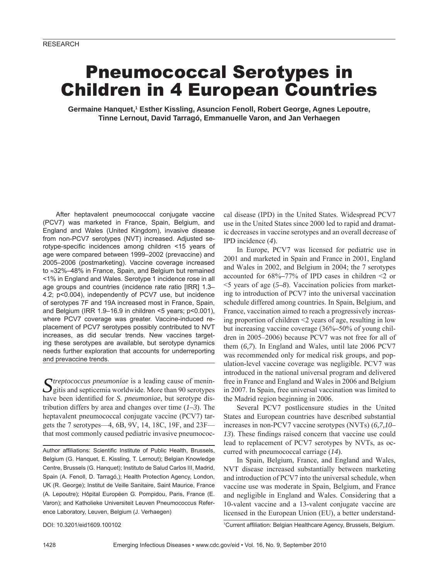# Pneumococcal Serotypes in Children in 4 European Countries

Germaine Hanquet,<sup>1</sup> Esther Kissling, Asuncion Fenoll, Robert George, Agnes Lepoutre, **Tinne Lernout, David Tarragó, Emmanuelle Varon, and Jan Verhaegen**

After heptavalent pneumococcal conjugate vaccine (PCV7) was marketed in France, Spain, Belgium, and England and Wales (United Kingdom), invasive disease from non-PCV7 serotypes (NVT) increased. Adjusted serotype-specific incidences among children <15 years of age were compared between 1999–2002 (prevaccine) and 2005–2006 (postmarketing). Vaccine coverage increased to ≈32%–48% in France, Spain, and Belgium but remained <1% in England and Wales. Serotype 1 incidence rose in all age groups and countries (incidence rate ratio [IRR] 1.3– 4.2; p<0.004), independently of PCV7 use, but incidence of serotypes 7F and 19A increased most in France, Spain, and Belgium (IRR 1.9–16.9 in children <5 years; p<0.001), where PCV7 coverage was greater. Vaccine-induced replacement of PCV7 serotypes possibly contributed to NVT increases, as did secular trends. New vaccines targeting these serotypes are available, but serotype dynamics needs further exploration that accounts for underreporting and prevaccine trends.

Streptococcus pneumoniae is a leading cause of menin-<br>gitis and septicemia worldwide. More than 90 serotypes have been identified for *S. pneumoniae*, but serotype distribution differs by area and changes over time (*1–3*). The heptavalent pneumococcal conjugate vaccine (PCV7) targets the 7 serotypes—4, 6B, 9V, 14, 18C, 19F, and 23F that most commonly caused pediatric invasive pneumococ-

Author affiliations: Scientific Institute of Public Health, Brussels, Belgium (G. Hanquet, E. Kissling, T. Lernout); Belgian Knowledge Centre, Brussels (G. Hanquet); Instituto de Salud Carlos III, Madrid, Spain (A. Fenoll, D. Tarragó,); Health Protection Agency, London, UK (R. George); Institut de Veille Sanitaire, Saint Maurice, France (A. Lepoutre); Hôpital Européen G. Pompidou, Paris, France (E. Varon); and Katholieke Universiteit Leuven Pneumococcus Reference Laboratory, Leuven, Belgium (J. Verhaegen)

cal disease (IPD) in the United States. Widespread PCV7 use in the United States since 2000 led to rapid and dramatic decreases in vaccine serotypes and an overall decrease of IPD incidence (*4*).

In Europe, PCV7 was licensed for pediatric use in 2001 and marketed in Spain and France in 2001, England and Wales in 2002, and Belgium in 2004; the 7 serotypes accounted for 68%**–**77% of IPD cases in children <2 or <5 years of age (*5–8*). Vaccination policies from marketing to introduction of PCV7 into the universal vaccination schedule differed among countries. In Spain, Belgium, and France, vaccination aimed to reach a progressively increasing proportion of children <2 years of age, resulting in low but increasing vaccine coverage (36%**–**50% of young children in 2005–2006) because PCV7 was not free for all of them (*6,7*). In England and Wales, until late 2006 PCV7 was recommended only for medical risk groups, and population-level vaccine coverage was negligible. PCV7 was introduced in the national universal program and delivered free in France and England and Wales in 2006 and Belgium in 2007. In Spain, free universal vaccination was limited to the Madrid region beginning in 2006.

Several PCV7 postlicensure studies in the United States and European countries have described substantial increases in non-PCV7 vaccine serotypes (NVTs) (*6,7,10– 13*). These findings raised concern that vaccine use could lead to replacement of PCV7 serotypes by NVTs, as occurred with pneumococcal carriage (*14*).

In Spain, Belgium, France, and England and Wales, NVT disease increased substantially between marketing and introduction of PCV7 into the universal schedule, when vaccine use was moderate in Spain, Belgium, and France and negligible in England and Wales. Considering that a 10-valent vaccine and a 13-valent conjugate vaccine are licensed in the European Union (EU), a better understand-

DOI: 10.3201/eid1609.100102 <sup>1</sup>

<sup>1</sup>Current affiliation: Belgian Healthcare Agency, Brussels, Belgium.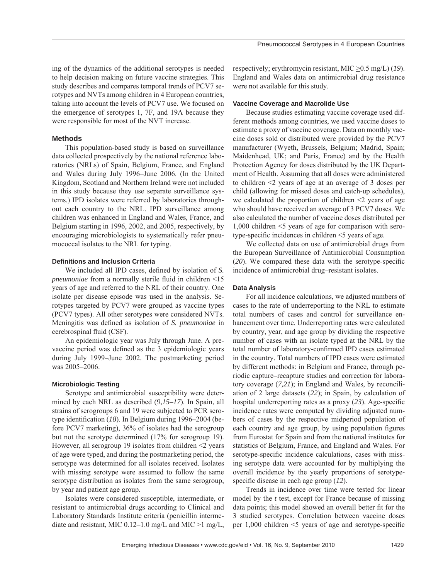ing of the dynamics of the additional serotypes is needed to help decision making on future vaccine strategies. This study describes and compares temporal trends of PCV7 serotypes and NVTs among children in 4 European countries, taking into account the levels of PCV7 use. We focused on the emergence of serotypes 1, 7F, and 19A because they were responsible for most of the NVT increase.

## **Methods**

This population-based study is based on surveillance data collected prospectively by the national reference laboratories (NRLs) of Spain, Belgium, France, and England and Wales during July 1996–June 2006. (In the United Kingdom, Scotland and Northern Ireland were not included in this study because they use separate surveillance systems.) IPD isolates were referred by laboratories throughout each country to the NRL. IPD surveillance among children was enhanced in England and Wales, France, and Belgium starting in 1996, 2002, and 2005, respectively, by encouraging microbiologists to systematically refer pneumococcal isolates to the NRL for typing.

#### **Defi nitions and Inclusion Criteria**

We included all IPD cases, defined by isolation of *S*. *pneumoniae* from a normally sterile fluid in children <15 years of age and referred to the NRL of their country. One isolate per disease episode was used in the analysis. Serotypes targeted by PCV7 were grouped as vaccine types (PCV7 types). All other serotypes were considered NVTs. Meningitis was defined as isolation of *S. pneumoniae* in cerebrospinal fluid (CSF).

An epidemiologic year was July through June. A prevaccine period was defined as the 3 epidemiologic years during July 1999–June 2002. The postmarketing period was 2005–2006.

#### **Microbiologic Testing**

Serotype and antimicrobial susceptibility were determined by each NRL as described (*9,15–17*). In Spain, all strains of serogroups 6 and 19 were subjected to PCR serotype identification (18). In Belgium during 1996–2004 (before PCV7 marketing), 36% of isolates had the serogroup but not the serotype determined (17% for serogroup 19). However, all serogroup 19 isolates from children <2 years of age were typed, and during the postmarketing period, the serotype was determined for all isolates received. Isolates with missing serotype were assumed to follow the same serotype distribution as isolates from the same serogroup, by year and patient age group.

Isolates were considered susceptible, intermediate, or resistant to antimicrobial drugs according to Clinical and Laboratory Standards Institute criteria (penicillin intermediate and resistant, MIC 0.12**–**1.0 mg/L and MIC >1 mg/L, respectively; erythromycin resistant, MIC  $\geq$  0.5 mg/L) (19). England and Wales data on antimicrobial drug resistance were not available for this study.

#### **Vaccine Coverage and Macrolide Use**

Because studies estimating vaccine coverage used different methods among countries, we used vaccine doses to estimate a proxy of vaccine coverage. Data on monthly vaccine doses sold or distributed were provided by the PCV7 manufacturer (Wyeth, Brussels, Belgium; Madrid, Spain; Maidenhead, UK; and Paris, France) and by the Health Protection Agency for doses distributed by the UK Department of Health. Assuming that all doses were administered to children <2 years of age at an average of 3 doses per child (allowing for missed doses and catch-up schedules), we calculated the proportion of children  $\leq$  years of age who should have received an average of 3 PCV7 doses. We also calculated the number of vaccine doses distributed per 1,000 children <5 years of age for comparison with serotype-specific incidences in children  $\leq$  years of age.

We collected data on use of antimicrobial drugs from the European Surveillance of Antimicrobial Consumption  $(20)$ . We compared these data with the serotype-specific incidence of antimicrobial drug–resistant isolates.

# **Data Analysis**

For all incidence calculations, we adjusted numbers of cases to the rate of underreporting to the NRL to estimate total numbers of cases and control for surveillance enhancement over time. Underreporting rates were calculated by country, year, and age group by dividing the respective number of cases with an isolate typed at the NRL by the total number of laboratory-confirmed IPD cases estimated in the country. Total numbers of IPD cases were estimated by different methods: in Belgium and France, through periodic capture**–**recapture studies and correction for laboratory coverage (*7,21*); in England and Wales, by reconciliation of 2 large datasets (*22*); in Spain, by calculation of hospital underreporting rates as a proxy  $(23)$ . Age-specific incidence rates were computed by dividing adjusted numbers of cases by the respective midperiod population of each country and age group, by using population figures from Eurostat for Spain and from the national institutes for statistics of Belgium, France, and England and Wales. For serotype-specific incidence calculations, cases with missing serotype data were accounted for by multiplying the overall incidence by the yearly proportions of serotypespecific disease in each age group (12).

Trends in incidence over time were tested for linear model by the *t* test, except for France because of missing data points; this model showed an overall better fit for the 3 studied serotypes. Correlation between vaccine doses per  $1,000$  children  $\leq 5$  years of age and serotype-specific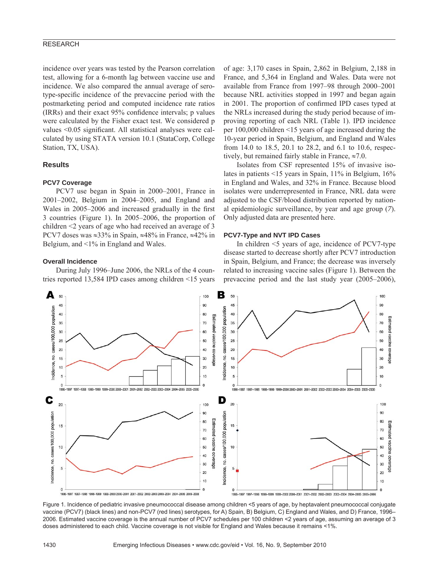incidence over years was tested by the Pearson correlation test, allowing for a 6-month lag between vaccine use and incidence. We also compared the annual average of serotype-specific incidence of the prevaccine period with the postmarketing period and computed incidence rate ratios (IRRs) and their exact 95% confidence intervals; p values were calculated by the Fisher exact test. We considered p values  $\leq 0.05$  significant. All statistical analyses were calculated by using STATA version 10.1 (StataCorp, College Station, TX, USA).

# **Results**

## **PCV7 Coverage**

PCV7 use began in Spain in 2000–2001, France in 2001–2002, Belgium in 2004–2005, and England and Wales in 2005–2006 and increased gradually in the first 3 countries (Figure 1). In 2005–2006, the proportion of children <2 years of age who had received an average of 3 PCV7 doses was ≈33% in Spain, ≈48% in France, ≈42% in Belgium, and <1% in England and Wales.

#### **Overall Incidence**

During July 1996–June 2006, the NRLs of the 4 countries reported 13,584 IPD cases among children <15 years

of age: 3,170 cases in Spain, 2,862 in Belgium, 2,188 in France, and 5,364 in England and Wales. Data were not available from France from 1997–98 through 2000–2001 because NRL activities stopped in 1997 and began again in 2001. The proportion of confirmed IPD cases typed at the NRLs increased during the study period because of improving reporting of each NRL (Table 1). IPD incidence per 100,000 children <15 years of age increased during the 10-year period in Spain, Belgium, and England and Wales from 14.0 to 18.5, 20.1 to 28.2, and 6.1 to 10.6, respectively, but remained fairly stable in France,  $\approx 7.0$ .

Isolates from CSF represented 15% of invasive isolates in patients <15 years in Spain, 11% in Belgium, 16% in England and Wales, and 32% in France. Because blood isolates were underrepresented in France, NRL data were adjusted to the CSF/blood distribution reported by national epidemiologic surveillance, by year and age group (*7*). Only adjusted data are presented here.

#### **PCV7-Type and NVT IPD Cases**

In children <5 years of age, incidence of PCV7-type disease started to decrease shortly after PCV7 introduction in Spain, Belgium, and France; the decrease was inversely related to increasing vaccine sales (Figure 1). Between the prevaccine period and the last study year (2005–2006),



Figure 1. Incidence of pediatric invasive pneumococcal disease among children <5 years of age, by heptavalent pneumococcal conjugate vaccine (PCV7) (black lines) and non-PCV7 (red lines) serotypes, for A) Spain, B) Belgium, C) England and Wales, and D) France, 1996– 2006. Estimated vaccine coverage is the annual number of PCV7 schedules per 100 children <2 years of age, assuming an average of 3 doses administered to each child. Vaccine coverage is not visible for England and Wales because it remains <1%.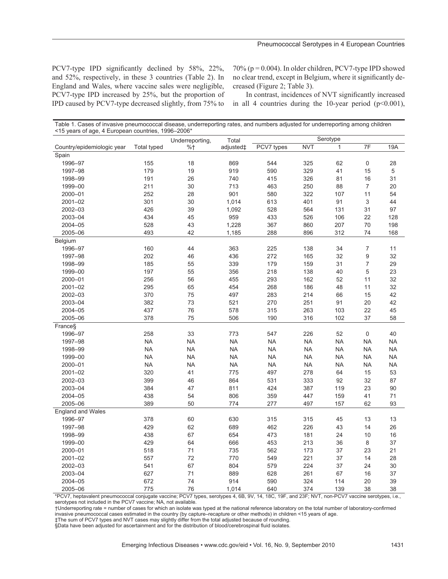PCV7-type IPD significantly declined by 58%, 22%, and 52%, respectively, in these 3 countries (Table 2). In England and Wales, where vaccine sales were negligible, PCV7-type IPD increased by 25%, but the proportion of IPD caused by PCV7-type decreased slightly, from 75% to

 $70\%$  ( $p = 0.004$ ). In older children, PCV7-type IPD showed no clear trend, except in Belgium, where it significantly decreased (Figure 2; Table 3).

In contrast, incidences of NVT significantly increased in all 4 countries during the 10-year period  $(p<0.001)$ ,

| Table 1. Cases of invasive pneumococcal disease, underreporting rates, and numbers adjusted for underreporting among children |       |          |
|-------------------------------------------------------------------------------------------------------------------------------|-------|----------|
| <15 years of age, 4 European countries, 1996–2006*                                                                            |       |          |
| Underreporting,                                                                                                               | Total | Serotype |

|                            |                    | onderreporting, | TULAI     |            |            |              |                  |           |
|----------------------------|--------------------|-----------------|-----------|------------|------------|--------------|------------------|-----------|
| Country/epidemiologic year | <b>Total typed</b> | $%$ †           | adjusted‡ | PCV7 types | <b>NVT</b> | $\mathbf{1}$ | 7F               | 19A       |
| Spain                      |                    |                 |           |            |            |              |                  |           |
| 1996-97                    | 155                | 18              | 869       | 544        | 325        | 62           | $\mathsf 0$      | 28        |
| 1997-98                    | 179                | 19              | 919       | 590        | 329        | 41           | 15               | 5         |
| 1998-99                    | 191                | 26              | 740       | 415        | 326        | 81           | 16               | 31        |
| 1999-00                    | 211                | 30              | 713       | 463        | 250        | 88           | $\overline{7}$   | 20        |
| 2000-01                    | 252                | 28              | 901       | 580        | 322        | 107          | 11               | 54        |
| $2001 - 02$                | 301                | 30              | 1,014     | 613        | 401        | 91           | 3                | 44        |
| 2002-03                    | 426                | 39              | 1,092     | 528        | 564        | 131          | 31               | 97        |
| 2003-04                    | 434                | 45              | 959       | 433        | 526        | 106          | 22               | 128       |
| 2004-05                    | 528                | 43              | 1,228     | 367        | 860        | 207          | $70\,$           | 198       |
| 2005-06                    | 493                | 42              | 1,185     | 288        | 896        | 312          | 74               | 168       |
| Belgium                    |                    |                 |           |            |            |              |                  |           |
| 1996-97                    | 160                | 44              | 363       | 225        | 138        | 34           | $\boldsymbol{7}$ | 11        |
| 1997-98                    | 202                | 46              | 436       | 272        | 165        | 32           | 9                | 32        |
| 1998-99                    | 185                | 55              | 339       | 179        | 159        | 31           | 7                | 29        |
| 1999-00                    | 197                | 55              | 356       | 218        | 138        | 40           | 5                | 23        |
| 2000-01                    | 256                | 56              | 455       | 293        | 162        | 52           | 11               | 32        |
| 2001-02                    | 295                | 65              | 454       | 268        | 186        | 48           | 11               | 32        |
| 2002-03                    | 370                | 75              | 497       | 283        | 214        | 66           | 15               | 42        |
| 2003-04                    | 382                | 73              | 521       | 270        | 251        | 91           | 20               | 42        |
| 2004-05                    | 437                | 76              | 578       | 315        | 263        | 103          | 22               | 45        |
| 2005-06                    | 378                | 75              | 506       | 190        | 316        | 102          | 37               | 58        |
| France <sub>S</sub>        |                    |                 |           |            |            |              |                  |           |
| 1996-97                    | 258                | 33              | 773       | 547        | 226        | 52           | $\mathsf 0$      | 40        |
| 1997-98                    | <b>NA</b>          | <b>NA</b>       | <b>NA</b> | <b>NA</b>  | <b>NA</b>  | <b>NA</b>    | <b>NA</b>        | <b>NA</b> |
| 1998-99                    | <b>NA</b>          | <b>NA</b>       | <b>NA</b> | <b>NA</b>  | <b>NA</b>  | <b>NA</b>    | <b>NA</b>        | <b>NA</b> |
| 1999-00                    | <b>NA</b>          | <b>NA</b>       | <b>NA</b> | <b>NA</b>  | <b>NA</b>  | <b>NA</b>    | ΝA               | <b>NA</b> |
| 2000-01                    | <b>NA</b>          | <b>NA</b>       | <b>NA</b> | <b>NA</b>  | <b>NA</b>  | <b>NA</b>    | ΝA               | <b>NA</b> |
| $2001 - 02$                | 320                | 41              | 775       | 497        | 278        | 64           | 15               | 53        |
| 2002-03                    | 399                | 46              | 864       | 531        | 333        | 92           | 32               | 87        |
| 2003-04                    | 384                | 47              | 811       | 424        | 387        | 119          | 23               | 90        |
| 2004-05                    | 438                | 54              | 806       | 359        | 447        | 159          | 41               | $71$      |
| 2005-06                    | 389                | 50              | 774       | 277        | 497        | 157          | 62               | 93        |
| <b>England and Wales</b>   |                    |                 |           |            |            |              |                  |           |
| 1996-97                    | 378                | 60              | 630       | 315        | 315        | 45           | 13               | 13        |
| 1997-98                    | 429                | 62              | 689       | 462        | 226        | 43           | 14               | 26        |
| 1998-99                    | 438                | 67              | 654       | 473        | 181        | 24           | 10               | 16        |
| 1999-00                    | 429                | 64              | 666       | 453        | 213        | 36           | 8                | 37        |
| 2000-01                    | 518                | 71              | 735       | 562        | 173        | 37           | 23               | 21        |
| 2001-02                    | 557                | 72              | 770       | 549        | 221        | 37           | 14               | 28        |
| 2002-03                    | 541                | 67              | 804       | 579        | 224        | 37           | 24               | 30        |
| 2003-04                    | 627                | 71              | 889       | 628        | 261        | 67           | 16               | 37        |
| 2004-05                    | 672                | 74              | 914       | 590        | 324        | 114          | 20               | 39        |
| 2005-06                    | 775                | 76              | 1,014     | 640        | 374        | 139          | 38               | 38        |

\*PCV7, heptavalent pneumococcal conjugate vaccine; PCV7 types, serotypes 4, 6B, 9V, 14, 18C, 19F, and 23F; NVT, non-PCV7 vaccine serotypes, i.e., serotypes not included in the PCV7 vaccine; NA, not available.

†Underreporting rate = number of cases for which an isolate was typed at the national reference laboratory on the total number of laboratory-confirmed invasive pneumococcal cases estimated in the country (by capture–recapture or other methods) in children <15 years of age.

‡The sum of PCV7 types and NVT cases may slightly differ from the total adjusted because of rounding.

§Data have been adjusted for ascertainment and for the distribution of blood/cerebrospinal fluid isolates.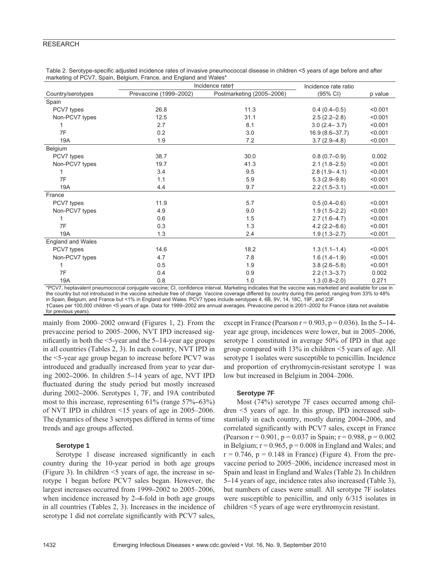|                          | Incidence rate+        | Incidence rate ratio      |                    |         |
|--------------------------|------------------------|---------------------------|--------------------|---------|
| Country/serotypes        | Prevaccine (1999-2002) | Postmarketing (2005-2006) | (95% CI)           | p value |
| Spain                    |                        |                           |                    |         |
| PCV7 types               | 26.8                   | 11.3                      | $0.4(0.4-0.5)$     | < 0.001 |
| Non-PCV7 types           | 12.5                   | 31.1                      | $2.5(2.2 - 2.8)$   | < 0.001 |
|                          | 2.7                    | 8.1                       | $3.0(2.4 - 3.7)$   | < 0.001 |
| 7F                       | 0.2                    | 3.0                       | $16.9(8.6 - 37.7)$ | < 0.001 |
| 19A                      | 1.9                    | 7.2                       | $3.7(2.9 - 4.8)$   | < 0.001 |
| Belgium                  |                        |                           |                    |         |
| PCV7 types               | 38.7                   | 30.0                      | $0.8(0.7-0.9)$     | 0.002   |
| Non-PCV7 types           | 19.7                   | 41.3                      | $2.1(1.8-2.5)$     | < 0.001 |
| 1                        | 3.4                    | 9.5                       | $2.8(1.9 - 4.1)$   | < 0.001 |
| 7F                       | 1.1                    | 5.9                       | $5.3(2.9-9.8)$     | < 0.001 |
| 19A                      | 4.4                    | 9.7                       | $2.2(1.5-3.1)$     | < 0.001 |
| France                   |                        |                           |                    |         |
| PCV7 types               | 11.9                   | 5.7                       | $0.5(0.4-0.6)$     | < 0.001 |
| Non-PCV7 types           | 4.9                    | 9.0                       | $1.9(1.5 - 2.2)$   | < 0.001 |
|                          | 0.6                    | 1.5                       | $2.7(1.6-4.7)$     | < 0.001 |
| 7F                       | 0.3                    | 1.3                       | $4.2(2.2 - 8.6)$   | < 0.001 |
| 19A                      | 1.3                    | 2.4                       | $1.9(1.3 - 2.7)$   | < 0.001 |
| <b>England and Wales</b> |                        |                           |                    |         |
| PCV7 types               | 14.6                   | 18.2                      | $1.3(1.1 - 1.4)$   | < 0.001 |
| Non-PCV7 types           | 4.7                    | 7.8                       | $1.6(1.4-1.9)$     | < 0.001 |
| 1                        | 0.5                    | 1.9                       | $3.8(2.6 - 5.8)$   | < 0.001 |
| 7F                       | 0.4                    | 0.9                       | $2.2(1.3 - 3.7)$   | 0.002   |
| 19A                      | 0.8                    | 1.0                       | $1.3(0.8 - 2.0)$   | 0.271   |

Table 2. Serotype-specific adjusted incidence rates of invasive pneumococcal disease in children <5 years of age before and after marketing of PCV7, Spain, Belgium, France, and England and Wales\*

\*PCV7, heptavalent pneumococcal conjugate vaccine; CI, confidence interval. Marketing indicates that the vaccine was marketed and available for use in the country but not introduced in the vaccine schedule free of charge. Vaccine coverage differed by country during this period, ranging from 33% to 48% in Spain, Belgium, and France but <1% in England and Wales. PCV7 types include serotypes 4, 6B, 9V, 14, 18C, 19F, and 23F. †Cases per 100,000 children <5 years of age. Data for 1999–2002 are annual averages. Prevaccine period is 2001–2002 for France (data not available for previous years).

mainly from 2000–2002 onward (Figures 1, 2). From the prevaccine period to 2005–2006, NVT IPD increased significantly in both the  $\leq$ 5-year and the 5–14-year age groups in all countries (Tables 2, 3). In each country, NVT IPD in the <5-year age group began to increase before PCV7 was introduced and gradually increased from year to year during 2002**–**2006. In children 5**–**14 years of age, NVT IPD fluctuated during the study period but mostly increased during 2002**–**2006. Serotypes 1, 7F, and 19A contributed most to this increase, representing 61% (range 57%**–**63%) of NVT IPD in children <15 years of age in 2005–2006. The dynamics of these 3 serotypes differed in terms of time trends and age groups affected.

## **Serotype 1**

Serotype 1 disease increased significantly in each country during the 10-year period in both age groups (Figure 3). In children  $\leq$  years of age, the increase in serotype 1 began before PCV7 sales began. However, the largest increases occurred from 1999**–**2002 to 2005–2006, when incidence increased by 2**–**4-fold in both age groups in all countries (Tables 2, 3). Increases in the incidence of serotype 1 did not correlate significantly with PCV7 sales,

except in France (Pearson r = 0.903, p = 0.036). In the 5**–**14 year age group, incidences were lower, but in 2005–2006, serotype 1 constituted in average 50% of IPD in that age group compared with 13% in children <5 years of age. All serotype 1 isolates were susceptible to penicillin. Incidence and proportion of erythromycin-resistant serotype 1 was low but increased in Belgium in 2004–2006.

#### **Serotype 7F**

Most (74%) serotype 7F cases occurred among children <5 years of age. In this group, IPD increased substantially in each country, mostly during 2004**–**2006, and correlated significantly with PCV7 sales, except in France (Pearson  $r = 0.901$ ,  $p = 0.037$  in Spain;  $r = 0.988$ ,  $p = 0.002$ in Belgium;  $r = 0.965$ ,  $p = 0.008$  in England and Wales; and  $r = 0.746$ ,  $p = 0.148$  in France) (Figure 4). From the prevaccine period to 2005–2006, incidence increased most in Spain and least in England and Wales (Table 2). In children 5**–**14 years of age, incidence rates also increased (Table 3), but numbers of cases were small. All serotype 7F isolates were susceptible to penicillin, and only 6/315 isolates in children <5 years of age were erythromycin resistant.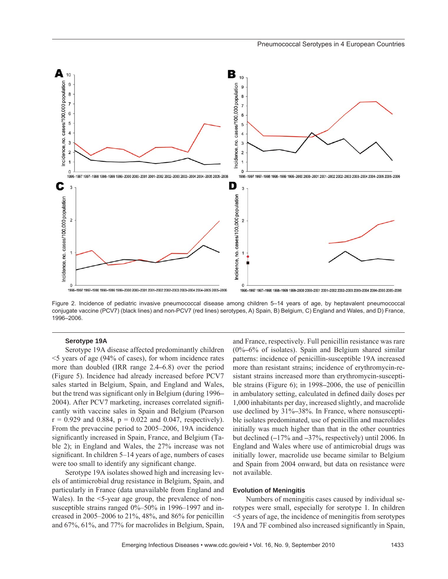

Figure 2. Incidence of pediatric invasive pneumococcal disease among children 5–14 years of age, by heptavalent pneumococcal conjugate vaccine (PCV7) (black lines) and non-PCV7 (red lines) serotypes, A) Spain, B) Belgium, C) England and Wales, and D) France, 1996–2006.

### **Serotype 19A**

Serotype 19A disease affected predominantly children <5 years of age (94% of cases), for whom incidence rates more than doubled (IRR range 2.4**–**6.8) over the period (Figure 5). Incidence had already increased before PCV7 sales started in Belgium, Spain, and England and Wales, but the trend was significant only in Belgium (during 1996– 2004). After PCV7 marketing, increases correlated significantly with vaccine sales in Spain and Belgium (Pearson  $r = 0.929$  and 0.884,  $p = 0.022$  and 0.047, respectively). From the prevaccine period to 2005–2006, 19A incidence significantly increased in Spain, France, and Belgium (Table 2); in England and Wales, the 27% increase was not significant. In children 5–14 years of age, numbers of cases were too small to identify any significant change.

Serotype 19A isolates showed high and increasing levels of antimicrobial drug resistance in Belgium, Spain, and particularly in France (data unavailable from England and Wales). In the <5-year age group, the prevalence of nonsusceptible strains ranged 0%–50% in 1996–1997 and increased in 2005–2006 to 21%, 48%, and 86% for penicillin and 67%, 61%, and 77% for macrolides in Belgium, Spain,

and France, respectively. Full penicillin resistance was rare (0%**–**6% of isolates). Spain and Belgium shared similar patterns: incidence of penicillin-susceptible 19A increased more than resistant strains; incidence of erythromycin-resistant strains increased more than erythromycin-susceptible strains (Figure 6); in 1998**–**2006, the use of penicillin in ambulatory setting, calculated in defined daily doses per 1,000 inhabitants per day, increased slightly, and macrolide use declined by 31%**–**38%. In France, where nonsusceptible isolates predominated, use of penicillin and macrolides initially was much higher than that in the other countries but declined (**–**17% and **–**37%, respectively) until 2006. In England and Wales where use of antimicrobial drugs was initially lower, macrolide use became similar to Belgium and Spain from 2004 onward, but data on resistance were not available.

#### **Evolution of Meningitis**

Numbers of meningitis cases caused by individual serotypes were small, especially for serotype 1. In children <5 years of age, the incidence of meningitis from serotypes 19A and 7F combined also increased significantly in Spain,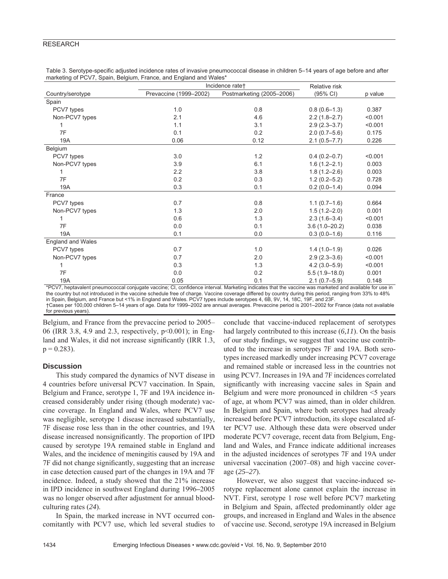|                   | Incidence rate+        |                           | Relative risk     |         |  |
|-------------------|------------------------|---------------------------|-------------------|---------|--|
| Country/serotype  | Prevaccine (1999-2002) | Postmarketing (2005-2006) | (95% CI)          | p value |  |
| Spain             |                        |                           |                   |         |  |
| PCV7 types        | 1.0                    | 0.8                       | $0.8(0.6-1.3)$    | 0.387   |  |
| Non-PCV7 types    | 2.1                    | 4.6                       | $2.2(1.8-2.7)$    | < 0.001 |  |
|                   | 1.1                    | 3.1                       | $2.9(2.3 - 3.7)$  | < 0.001 |  |
| 7F                | 0.1                    | 0.2                       | $2.0(0.7-5.6)$    | 0.175   |  |
| 19A               | 0.06                   | 0.12                      | $2.1(0.5 - 7.7)$  | 0.226   |  |
| Belgium           |                        |                           |                   |         |  |
| PCV7 types        | 3.0                    | 1.2                       | $0.4(0.2 - 0.7)$  | < 0.001 |  |
| Non-PCV7 types    | 3.9                    | 6.1                       | $1.6(1.2 - 2.1)$  | 0.003   |  |
|                   | 2.2                    | 3.8                       | $1.8(1.2 - 2.6)$  | 0.003   |  |
| 7F                | 0.2                    | 0.3                       | $1.2(0.2 - 5.2)$  | 0.728   |  |
| 19A               | 0.3                    | 0.1                       | $0.2(0.0-1.4)$    | 0.094   |  |
| France            |                        |                           |                   |         |  |
| PCV7 types        | 0.7                    | 0.8                       | $1.1(0.7-1.6)$    | 0.664   |  |
| Non-PCV7 types    | 1.3                    | 2.0                       | $1.5(1.2 - 2.0)$  | 0.001   |  |
| 1                 | 0.6                    | 1.3                       | $2.3(1.6-3.4)$    | < 0.001 |  |
| 7F                | 0.0                    | 0.1                       | $3.6(1.0 - 20.2)$ | 0.038   |  |
| 19A               | 0.1                    | 0.0                       | $0.3(0.0-1.6)$    | 0.116   |  |
| England and Wales |                        |                           |                   |         |  |
| PCV7 types        | 0.7                    | 1.0                       | $1.4(1.0-1.9)$    | 0.026   |  |
| Non-PCV7 types    | 0.7                    | 2.0                       | $2.9(2.3 - 3.6)$  | < 0.001 |  |
| 1                 | 0.3                    | 1.3                       | $4.2(3.0 - 5.9)$  | < 0.001 |  |
| 7F                | 0.0                    | 0.2                       | $5.5(1.9 - 18.0)$ | 0.001   |  |
| 19A               | 0.05                   | 0.1                       | $2.1(0.7 - 5.9)$  | 0.148   |  |

Table 3. Serotype-specific adjusted incidence rates of invasive pneumococcal disease in children 5–14 years of age before and after marketing of PCV7, Spain, Belgium, France, and England and Wales\*

\*PCV7, heptavalent pneumococcal conjugate vaccine; CI, confidence interval. Marketing indicates that the vaccine was marketed and available for use in the country but not introduced in the vaccine schedule free of charge. Vaccine coverage differed by country during this period, ranging from 33% to 48% in Spain, Belgium, and France but <1% in England and Wales. PCV7 types include serotypes 4, 6B, 9V, 14, 18C, 19F, and 23F. †Cases per 100,000 children 5–14 years of age. Data for 1999–2002 are annual averages. Prevaccine period is 2001–2002 for France (data not available for previous years).

Belgium, and France from the prevaccine period to 2005– 06 (IRR 3.8, 4.9 and 2.3, respectively, p<0.001); in England and Wales, it did not increase significantly (IRR 1.3,  $p = 0.283$ ).

## **Discussion**

This study compared the dynamics of NVT disease in 4 countries before universal PCV7 vaccination. In Spain, Belgium and France, serotype 1, 7F and 19A incidence increased considerably under rising (though moderate) vaccine coverage. In England and Wales, where PCV7 use was negligible, serotype 1 disease increased substantially, 7F disease rose less than in the other countries, and 19A disease increased nonsignificantly. The proportion of IPD caused by serotype 19A remained stable in England and Wales, and the incidence of meningitis caused by 19A and 7F did not change significantly, suggesting that an increase in case detection caused part of the changes in 19A and 7F incidence. Indeed, a study showed that the 21% increase in IPD incidence in southwest England during 1996**–**2005 was no longer observed after adjustment for annual bloodculturing rates (*24*).

In Spain, the marked increase in NVT occurred concomitantly with PCV7 use, which led several studies to conclude that vaccine-induced replacement of serotypes had largely contributed to this increase (*6,11*). On the basis of our study findings, we suggest that vaccine use contributed to the increase in serotypes 7F and 19A. Both serotypes increased markedly under increasing PCV7 coverage and remained stable or increased less in the countries not using PCV7. Increases in 19A and 7F incidences correlated significantly with increasing vaccine sales in Spain and Belgium and were more pronounced in children <5 years of age, at whom PCV7 was aimed, than in older children. In Belgium and Spain, where both serotypes had already increased before PCV7 introduction, its slope escalated after PCV7 use. Although these data were observed under moderate PCV7 coverage, recent data from Belgium, England and Wales, and France indicate additional increases in the adjusted incidences of serotypes 7F and 19A under universal vaccination (2007–08) and high vaccine coverage (*25–27*).

However, we also suggest that vaccine-induced serotype replacement alone cannot explain the increase in NVT. First, serotype 1 rose well before PCV7 marketing in Belgium and Spain, affected predominantly older age groups, and increased in England and Wales in the absence of vaccine use. Second, serotype 19A increased in Belgium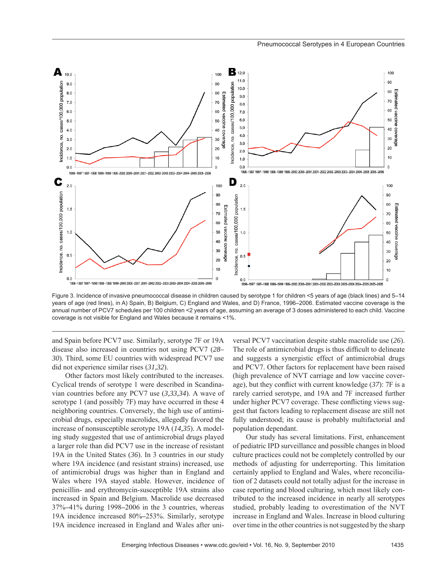

Figure 3. Incidence of invasive pneumococcal disease in children caused by serotype 1 for children <5 years of age (black lines) and 5–14 years of age (red lines), in A) Spain, B) Belgium, C) England and Wales, and D) France, 1996–2006. Estimated vaccine coverage is the annual number of PCV7 schedules per 100 children <2 years of age, assuming an average of 3 doses administered to each child. Vaccine coverage is not visible for England and Wales because it remains <1%.

and Spain before PCV7 use. Similarly, serotype 7F or 19A disease also increased in countries not using PCV7 (*28– 30*). Third, some EU countries with widespread PCV7 use did not experience similar rises (*31,32*).

Other factors most likely contributed to the increases. Cyclical trends of serotype 1 were described in Scandinavian countries before any PCV7 use (*3,33,34*). A wave of serotype 1 (and possibly 7F) may have occurred in these 4 neighboring countries. Conversely, the high use of antimicrobial drugs, especially macrolides, allegedly favored the increase of nonsusceptible serotype 19A (*14,35*). A modeling study suggested that use of antimicrobial drugs played a larger role than did PCV7 use in the increase of resistant 19A in the United States (*36*). In 3 countries in our study where 19A incidence (and resistant strains) increased, use of antimicrobial drugs was higher than in England and Wales where 19A stayed stable. However, incidence of penicillin- and erythromycin-susceptible 19A strains also increased in Spain and Belgium. Macrolide use decreased 37%**–**41% during 1998**–**2006 in the 3 countries, whereas 19A incidence increased 80%**–**253%. Similarly, serotype 19A incidence increased in England and Wales after uni-

versal PCV7 vaccination despite stable macrolide use (*26*). The role of antimicrobial drugs is thus difficult to delineate and suggests a synergistic effect of antimicrobial drugs and PCV7. Other factors for replacement have been raised (high prevalence of NVT carriage and low vaccine coverage), but they conflict with current knowledge (37): 7F is a rarely carried serotype, and 19A and 7F increased further under higher PCV7 coverage. These conflicting views suggest that factors leading to replacement disease are still not fully understood; its cause is probably multifactorial and population dependant.

Our study has several limitations. First, enhancement of pediatric IPD surveillance and possible changes in blood culture practices could not be completely controlled by our methods of adjusting for underreporting. This limitation certainly applied to England and Wales, where reconciliation of 2 datasets could not totally adjust for the increase in case reporting and blood culturing, which most likely contributed to the increased incidence in nearly all serotypes studied, probably leading to overestimation of the NVT increase in England and Wales. Increase in blood culturing over time in the other countries is not suggested by the sharp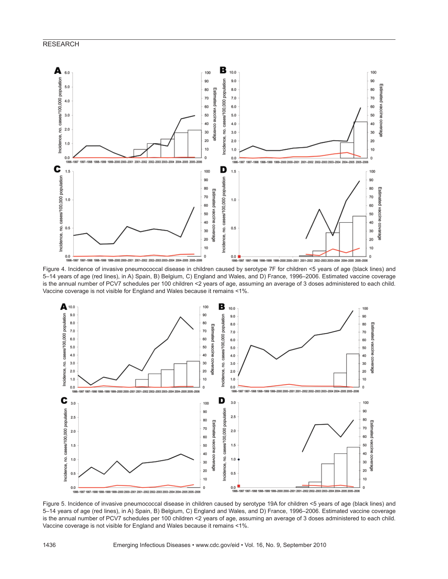

5–14 years of age (red lines), in A) Spain, B) Belgium, C) England and Wales, and D) France, 1996–2006. Estimated vaccine coverage is the annual number of PCV7 schedules per 100 children <2 years of age, assuming an average of 3 doses administered to each child. Vaccine coverage is not visible for England and Wales because it remains <1%.



Figure 5. Incidence of invasive pneumococcal disease in children caused by serotype 19A for children <5 years of age (black lines) and 5–14 years of age (red lines), in A) Spain, B) Belgium, C) England and Wales, and D) France, 1996–2006. Estimated vaccine coverage is the annual number of PCV7 schedules per 100 children <2 years of age, assuming an average of 3 doses administered to each child. Vaccine coverage is not visible for England and Wales because it remains <1%.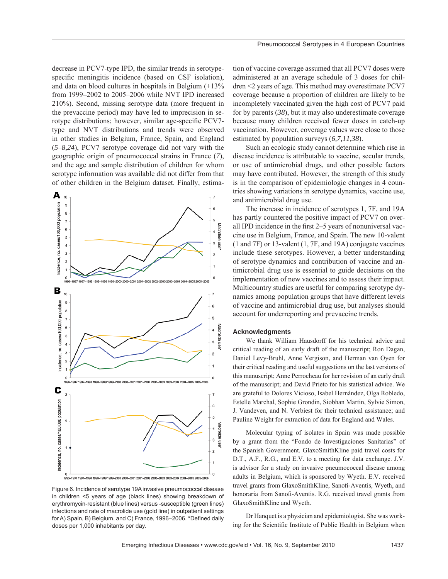decrease in PCV7-type IPD, the similar trends in serotypespecific meningitis incidence (based on CSF isolation), and data on blood cultures in hospitals in Belgium (+13% from 1999**–**2002 to 2005–2006 while NVT IPD increased 210%). Second, missing serotype data (more frequent in the prevaccine period) may have led to imprecision in serotype distributions; however, similar age-specific PCV7type and NVT distributions and trends were observed in other studies in Belgium, France, Spain, and England (*5–8,24*), PCV7 serotype coverage did not vary with the geographic origin of pneumococcal strains in France (*7*), and the age and sample distribution of children for whom serotype information was available did not differ from that of other children in the Belgium dataset. Finally, estima-



Figure 6. Incidence of serotype 19A invasive pneumococcal disease in children <5 years of age (black lines) showing breakdown of erythromycin-resistant (blue lines) versus -susceptible (green lines) infections and rate of macrolide use (gold line) in outpatient settings for A) Spain, B) Belgium, and C) France, 1996-2006. \*Defined daily doses per 1,000 inhabitants per day.

tion of vaccine coverage assumed that all PCV7 doses were administered at an average schedule of 3 doses for children <2 years of age. This method may overestimate PCV7 coverage because a proportion of children are likely to be incompletely vaccinated given the high cost of PCV7 paid for by parents (*38*), but it may also underestimate coverage because many children received fewer doses in catch-up vaccination. However, coverage values were close to those estimated by population surveys (*6,7,11,38*).

Such an ecologic study cannot determine which rise in disease incidence is attributable to vaccine, secular trends, or use of antimicrobial drugs, and other possible factors may have contributed. However, the strength of this study is in the comparison of epidemiologic changes in 4 countries showing variations in serotype dynamics, vaccine use, and antimicrobial drug use.

The increase in incidence of serotypes 1, 7F, and 19A has partly countered the positive impact of PCV7 on overall IPD incidence in the first 2–5 years of nonuniversal vaccine use in Belgium, France, and Spain. The new 10-valent (1 and 7F) or 13-valent (1, 7F, and 19A) conjugate vaccines include these serotypes. However, a better understanding of serotype dynamics and contribution of vaccine and antimicrobial drug use is essential to guide decisions on the implementation of new vaccines and to assess their impact. Multicountry studies are useful for comparing serotype dynamics among population groups that have different levels of vaccine and antimicrobial drug use, but analyses should account for underreporting and prevaccine trends.

#### **Acknowledgments**

We thank William Hausdorff for his technical advice and critical reading of an early draft of the manuscript; Ron Dagan, Daniel Levy-Bruhl, Anne Vergison, and Herman van Oyen for their critical reading and useful suggestions on the last versions of this manuscript; Anne Perrocheau for her revision of an early draft of the manuscript; and David Prieto for his statistical advice. We are grateful to Dolores Vicioso, Isabel Hernández, Olga Robledo, Estelle Marchal, Sophie Grondin, Siobhan Martin, Sylvie Simon, J. Vandeven, and N. Verbiest for their technical assistance; and Pauline Weight for extraction of data for England and Wales.

Molecular typing of isolates in Spain was made possible by a grant from the "Fondo de Investigaciones Sanitarias" of the Spanish Government. GlaxoSmithKline paid travel costs for D.T., A.F., R.G., and E.V. to a meeting for data exchange. J.V. is advisor for a study on invasive pneumococcal disease among adults in Belgium, which is sponsored by Wyeth. E.V. received travel grants from GlaxoSmithKline, Sanofi -Aventis, Wyeth, and honoraria from Sanofi-Aventis. R.G. received travel grants from GlaxoSmithKline and Wyeth.

Dr Hanquet is a physician and epidemiologist. She was working for the Scientific Institute of Public Health in Belgium when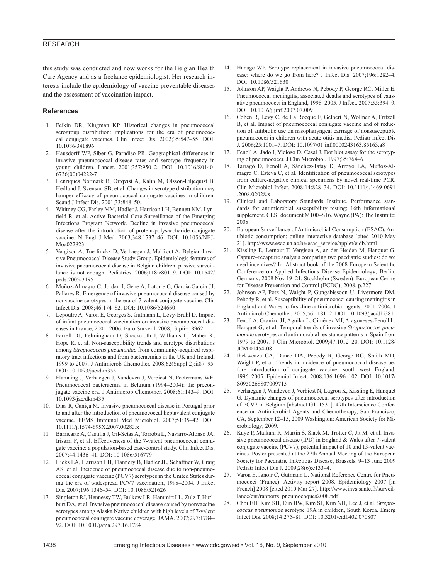this study was conducted and now works for the Belgian Health Care Agency and as a freelance epidemiologist. Her research interests include the epidemiology of vaccine-preventable diseases and the assessment of vaccination impact.

#### **References**

- 1. Feikin DR, Klugman KP. Historical changes in pneumococcal serogroup distribution: implications for the era of pneumococcal conjugate vaccines. Clin Infect Dis. 2002;35:547–55. DOI: 10.1086/341896
- 2. Hausdorff WP, Siber G, Paradiso PR. Geographical differences in invasive pneumococcal disease rates and serotype frequency in young children. Lancet. 2001;357:950–2. DOI: 10.1016/S0140- 6736(00)04222-7
- 3. Henriques Normark B, Ortqvist A, Kalin M, Olsson-Liljequist B, Hedlund J, Svenson SB, et al. Changes in serotype distribution may hamper efficacy of pneumococcal conjugate vaccines in children. Scand J Infect Dis. 2001;33:848–50.
- 4. Whitney CG, Farley MM, Hadler J, Harrison LH, Bennett NM, Lynfield R, et al. Active Bacterial Core Surveillance of the Emerging Infections Program Network. Decline in invasive pneumococcal disease after the introduction of protein-polysaccharide conjugate vaccine. N Engl J Med. 2003;348:1737–46. DOI: 10.1056/NEJ-Moa022823
- 5. Vergison A, Tuerlinckx D, Verhaegen J, Malfroot A, Belgian Invasive Pneumococcal Disease Study Group. Epidemiologic features of invasive pneumococcal disease in Belgian children: passive surveillance is not enough. Pediatrics. 2006;118:e801–9. DOI: 10.1542/ peds.2005-3195
- 6. Muñoz-Almagro C, Jordan I, Gene A, Latorre C, Garcia-Garcia JJ, Pallares R. Emergence of invasive pneumococcal disease caused by nonvaccine serotypes in the era of 7-valent conjugate vaccine. Clin Infect Dis. 2008;46:174–82. DOI: 10.1086/524660
- 7. Lepoutre A, Varon E, Georges S, Gutmann L, Lévy-Bruhl D. Impact of infant pneumococcal vaccination on invasive pneumococcal diseases in France, 2001–2006. Euro Surveill. 2008;13:pii=18962.
- 8. Farrell DJ, Felmingham D, Shackcloth J, Williams L, Maher K, Hope R, et al. Non-susceptibility trends and serotype distributions among *Streptococcus pneumoniae* from community-acquired respiratory tract infections and from bacteraemias in the UK and Ireland, 1999 to 2007. J Antimicrob Chemother. 2008;62(Suppl 2):ii87–95. DOI: 10.1093/jac/dkn355
- 9. Flamaing J, Verhaegen J, Vandeven J, Verbiest N, Peetermans WE. Pneumococcal bacteraemia in Belgium (1994–2004): the preconjugate vaccine era. J Antimicrob Chemother. 2008;61:143–9. DOI: 10.1093/jac/dkm435
- 10. Dias R, Caniça M. Invasive pneumococcal disease in Portugal prior to and after the introduction of pneumococcal heptavalent conjugate vaccine. FEMS Immunol Med Microbiol. 2007;51:35–42. DOI: 10.1111/j.1574-695X.2007.00283.x
- 11. Barricarte A, Castilla J, Gil-Setas A, Torroba L, Navarro-Alonso JA, Irisarri F, et al. Effectiveness of the 7-valent pneumococcal conjugate vaccine: a population-based case-control study. Clin Infect Dis. 2007;44:1436–41. DOI: 10.1086/516779
- 12. Hicks LA, Harrison LH, Flannery B, Hadler JL, Schaffner W, Craig AS, et al. Incidence of pneumococcal disease due to non-pneumococcal conjugate vaccine (PCV7) serotypes in the United States during the era of widespread PCV7 vaccination, 1998–2004. J Infect Dis. 2007;196:1346–54. DOI: 10.1086/521626
- 13. Singleton RJ, Hennessy TW, Bulkow LR, Hammitt LL, Zulz T, Hurlburt DA, et al. Invasive pneumococcal disease caused by nonvaccine serotypes among Alaska Native children with high levels of 7-valent pneumococcal conjugate vaccine coverage. JAMA. 2007;297:1784– 92. DOI: 10.1001/jama.297.16.1784
- 14. Hanage WP. Serotype replacement in invasive pneumococcal disease: where do we go from here? J Infect Dis. 2007;196:1282–4. DOI: 10.1086/521630
- 15. Johnson AP, Waight P, Andrews N, Pebody P, George RC, Miller E. Pneumococcal meningitis, associated deaths and serotypes of causative pneumococci in England, 1998–2005. J Infect. 2007;55:394–9. DOI: 10.1016/j.jinf.2007.07.009
- 16. Cohen R, Levy C, de La Rocque F, Gelbert N, Wollner A, Fritzell B, et al. Impact of pneumococcal conjugate vaccine and of reduction of antibiotic use on nasopharyngeal carriage of nonsusceptible pneumococci in children with acute otitis media. Pediatr Infect Dis J. 2006;25:1001–7. DOI: 10.1097/01.inf.0000243163.85163.a8
- Fenoll A, Jado I, Vicioso D, Casal J. Dot blot assay for the serotyping of pneumococci. J Clin Microbiol. 1997;35:764–6.
- 18. Tarragó D, Fenoll A, Sánchez-Tatay D, Arroyo LA, Muñoz-Almagro C, Esteva C, et al. Identification of pneumococcal serotypes from culture-negative clinical specimens by novel real-time PCR. Clin Microbiol Infect. 2008;14:828–34. DOI: 10.1111/j.1469-0691 .2008.02028.x
- 19. Clinical and Laboratory Standards Institute. Performance standards for antimicrobial susceptibility testing; 16th informational supplement. CLSI document M100–S16. Wayne (PA): The Institute; 2008.
- 20. European Surveillance of Antimicrobial Consumption (ESAC). Antibiotic consumption; online interactive database [cited 2010 May 21]. http://www.esac.ua.ac.be/esac\_service/applet/eidb.html
- Kissling E, Lernout T, Vergison A, an der Heiden M, Hanquet G. Capture–recapture analysis comparing two paediatric studies: do we need incentives? In: Abstract book of the 2008 European Scientific Conference on Applied Infectious Disease Epidemiology; Berlin, Germany; 2008 Nov 19–21. Stockholm (Sweden): European Centre for Disease Prevention and Control (ECDC); 2008. p.227.
- 22. Johnson AP, Potz N, Waight P, Gungabissoon U, Livermore DM, Pebody R, et al. Susceptibility of pneumococci causing meningitis in England and Wales to first-line antimicrobial agents, 2001–2004. J Antimicrob Chemother. 2005;56:1181–2. DOI: 10.1093/jac/dki381
- 23. Fenoll A, Granizo JJ, Aguilar L, Giménez MJ, Aragoneses-Fenoll L, Hanquet G, et al. Temporal trends of invasive *Streptococcus pneumoniae* serotypes and antimicrobial resistance patterns in Spain from 1979 to 2007. J Clin Microbiol. 2009;47:1012–20. DOI: 10.1128/ JCM.01454-08
- 24. Ihekweazu CA, Dance DA, Pebody R, George RC, Smith MD, Waight P, et al. Trends in incidence of pneumococcal disease before introduction of conjugate vaccine: south west England, 1996–2005. Epidemiol Infect. 2008;136:1096–102. DOI: 10.1017/ S0950268807009715
- 25. Verhaegen J, Vandeven J, Verbiest N, Lagrou K, Kissling E, Hanquet G. Dynamic changes of pneumococcal serotypes after introduction of PCV7 in Belgium [abstract G1–1531]. 49th Interscience Conference on Antimicrobial Agents and Chemotherapy, San Francisco, CA, September 12–15, 2009.Washington: American Society for Microbiology; 2009.
- 26. Kaye P, Malkani R, Martin S, Slack M, Trotter C, Jit M, et al. Invasive pneumococcal disease (IPD) in England & Wales after 7-valent conjugate vaccine (PCV7); potential impact of 10 and 13-valent vaccines. Poster presented at the 27th Annual Meeting of the European Society for Paediatric Infectious Disease, Brussels, 9–13 June 2009 Pediatr Infect Dis J. 2009;28(6):e133–4.
- 27. Varon E, Janoir C, Gutmann L, National Reference Centre for Pneumococci (France). Activity report 2008. Epidemiology 2007 [in French] 2008 [cited 2010 Mar 27]. http://www.invs.sante.fr/surveillance/cnr/rapports\_pneumocoques2008.pdf
- 28. Choi EH, Kim SH, Eun BW, Kim SJ, Kim NH, Lee J, et al. *Streptococcus pneumoniae* serotype 19A in children, South Korea. Emerg Infect Dis. 2008;14:275–81. DOI: 10.3201/eid1402.070807